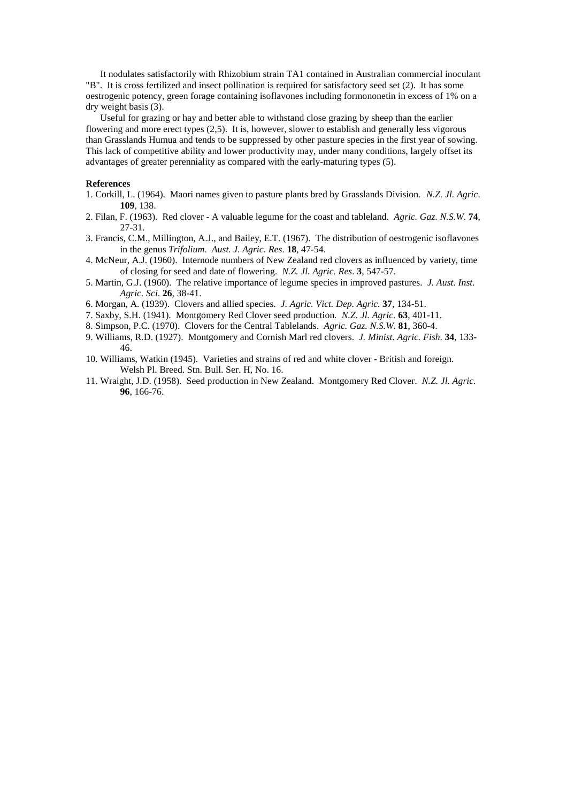It nodulates satisfactorily with Rhizobium strain TA1 contained in Australian commercial inoculant "B". It is cross fertilized and insect pollination is required for satisfactory seed set (2). It has some oestrogenic potency, green forage containing isoflavones including formononetin in excess of 1% on a dry weight basis (3).

 Useful for grazing or hay and better able to withstand close grazing by sheep than the earlier flowering and more erect types (2,5). It is, however, slower to establish and generally less vigorous than Grasslands Humua and tends to be suppressed by other pasture species in the first year of sowing. This lack of competitive ability and lower productivity may, under many conditions, largely offset its advantages of greater perenniality as compared with the early-maturing types (5).

#### **References**

- 1. Corkill, L. (1964). Maori names given to pasture plants bred by Grasslands Division. *N.Z. Jl. Agric*. **109**, 138.
- 2. Filan, F. (1963). Red clover A valuable legume for the coast and tableland. *Agric. Gaz. N.S.W*. **74**, 27-31.
- 3. Francis, C.M., Millington, A.J., and Bailey, E.T. (1967). The distribution of oestrogenic isoflavones in the genus *Trifolium*. *Aust. J. Agric. Res*. **18**, 47-54.
- 4. McNeur, A.J. (1960). Internode numbers of New Zealand red clovers as influenced by variety, time of closing for seed and date of flowering. *N.Z. Jl. Agric. Res*. **3**, 547-57.
- 5. Martin, G.J. (1960). The relative importance of legume species in improved pastures. *J. Aust. Inst. Agric. Sci*. **26**, 38-41.
- 6. Morgan, A. (1939). Clovers and allied species. *J. Agric. Vict. Dep. Agric.* **37**, 134-51.
- 7. Saxby, S.H. (1941). Montgomery Red Clover seed production*. N.Z. Jl. Agric.* **63**, 401-11.
- 8. Simpson, P.C. (1970). Clovers for the Central Tablelands. *Agric. Gaz. N.S.W.* **81**, 360-4.
- 9. Williams, R.D. (1927). Montgomery and Cornish Marl red clovers. *J. Minist. Agric. Fish*. **34**, 133- 46.
- 10. Williams, Watkin (1945). Varieties and strains of red and white clover British and foreign. Welsh Pl. Breed. Stn. Bull. Ser. H, No. 16.
- 11. Wraight, J.D. (1958). Seed production in New Zealand. Montgomery Red Clover. *N.Z. Jl. Agric*. **96**, 166-76.